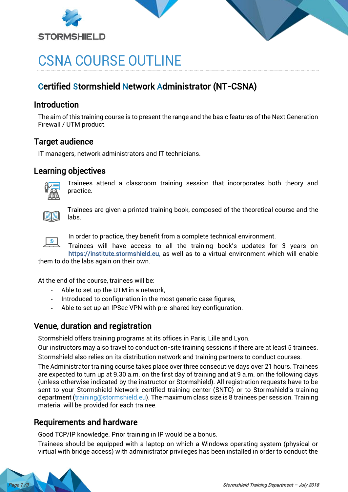



# CSNA COURSE OUTLINE

## Certified Stormshield Network Administrator (NT-CSNA)

#### **Introduction**

The aim of this training course is to present the range and the basic features of the Next Generation Firewall / UTM product.

## Target audience

IT managers, network administrators and IT technicians.

## Learning objectives



Trainees attend a classroom training session that incorporates both theory and practice.



Trainees are given a printed training book, composed of the theoretical course and the labs.



In order to practice, they benefit from a complete technical environment.

Trainees will have access to all the training book's updates for 3 years on [https://institute.stormshield.eu,](https://institute.stormshield.eu/) as well as to a virtual environment which will enable

them to do the labs again on their own.

At the end of the course, trainees will be:

- Able to set up the UTM in a network,
- Introduced to configuration in the most generic case figures,
- Able to set up an IPSec VPN with pre-shared key configuration.

## Venue, duration and registration

Stormshield offers training programs at its offices in Paris, Lille and Lyon.

Our instructors may also travel to conduct on-site training sessions if there are at least 5 trainees. Stormshield also relies on its distribution network and training partners to conduct courses.

The Administrator training course takes place over three consecutive days over 21 hours. Trainees are expected to turn up at 9.30 a.m. on the first day of training and at 9 a.m. on the following days (unless otherwise indicated by the instructor or Stormshield). All registration requests have to be sent to your Stormshield Network-certified training center (SNTC) or to Stormshield's training department [\(training@stormshield.eu\)](mailto:training@stormshield.eu). The maximum class size is 8 trainees per session. Training material will be provided for each trainee.

## Requirements and hardware

Good TCP/IP knowledge. Prior training in IP would be a bonus.

Trainees should be equipped with a laptop on which a Windows operating system (physical or virtual with bridge access) with administrator privileges has been installed in order to conduct the

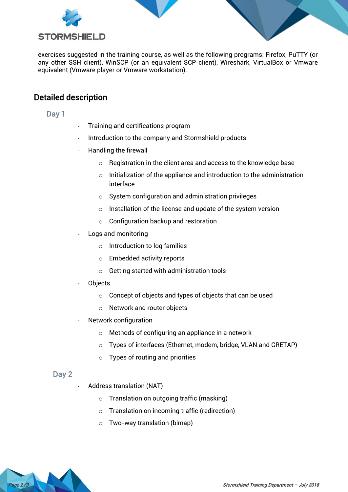

exercises suggested in the training course, as well as the following programs: Firefox, PuTTY (or any other SSH client), WinSCP (or an equivalent SCP client), Wireshark, VirtualBox or Vmware equivalent (Vmware player or Vmware workstation).

## Detailed description

#### Day 1

- Training and certifications program
- Introduction to the company and Stormshield products
- Handling the firewall
	- o Registration in the client area and access to the knowledge base
	- $\circ$  Initialization of the appliance and introduction to the administration interface
	- o System configuration and administration privileges
	- $\circ$  Installation of the license and update of the system version
	- o Configuration backup and restoration
- Logs and monitoring
	- o Introduction to log families
	- o Embedded activity reports
	- o Getting started with administration tools
- **Objects** 
	- $\circ$  Concept of objects and types of objects that can be used
	- o Network and router objects
- Network configuration
	- o Methods of configuring an appliance in a network
	- o Types of interfaces (Ethernet, modem, bridge, VLAN and GRETAP)
	- $\circ$  Types of routing and priorities

#### Day 2

- Address translation (NAT)
	- o Translation on outgoing traffic (masking)
	- o Translation on incoming traffic (redirection)
	- o Two-way translation (bimap)